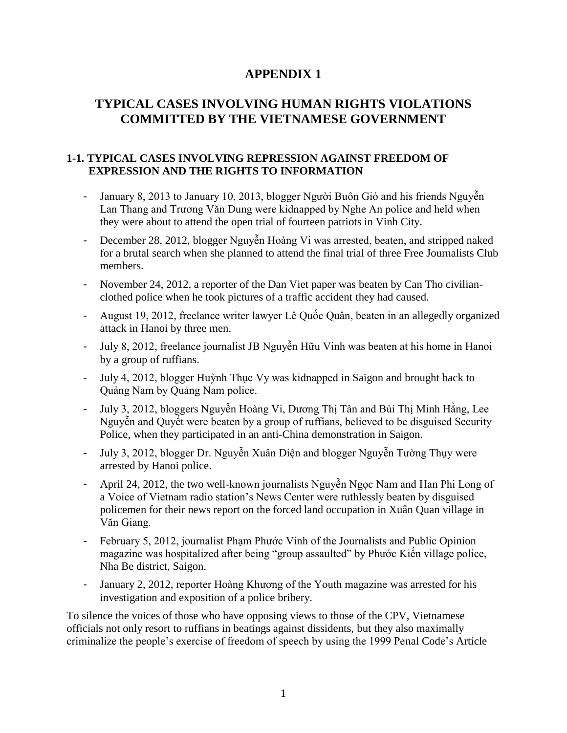# **APPENDIX 1**

# **TYPICAL CASES INVOLVING HUMAN RIGHTS VIOLATIONS COMMITTED BY THE VIETNAMESE GOVERNMENT**

### **1-1. TYPICAL CASES INVOLVING REPRESSION AGAINST FREEDOM OF EXPRESSION AND THE RIGHTS TO INFORMATION**

- January 8, 2013 to January 10, 2013, blogger Người Buôn Gió and his friends Nguyễn Lan Thang and Trương Văn Dung were kidnapped by Nghe An police and held when they were about to attend the open trial of fourteen patriots in Vinh City.
- December 28, 2012, blogger Nguyễn Hoàng Vi was arrested, beaten, and stripped naked for a brutal search when she planned to attend the final trial of three Free Journalists Club members.
- November 24, 2012, a reporter of the Dan Viet paper was beaten by Can Tho civilianclothed police when he took pictures of a traffic accident they had caused.
- August 19, 2012, freelance writer lawyer Lê Quốc Quân, beaten in an allegedly organized attack in Hanoi by three men.
- July 8, 2012, freelance journalist JB Nguyễn Hữu Vinh was beaten at his home in Hanoi by a group of ruffians.
- July 4, 2012, blogger Huỳnh Thục Vy was kidnapped in Saigon and brought back to Quảng Nam by Quảng Nam police.
- July 3, 2012, bloggers Nguyễn Hoàng Vi, Dương Thị Tân and Bùi Thị Minh Hằng, Lee Nguyễn and Quyết were beaten by a group of ruffians, believed to be disguised Security Police, when they participated in an anti-China demonstration in Saigon.
- July 3, 2012, blogger Dr. Nguyễn Xuân Diện and blogger Nguyễn Tường Thụy were arrested by Hanoi police.
- April 24, 2012, the two well-known journalists Nguyễn Ngọc Nam and Han Phi Long of a Voice of Vietnam radio station's News Center were ruthlessly beaten by disguised policemen for their news report on the forced land occupation in Xuân Quan village in Văn Giang.
- February 5, 2012, journalist Phạm Phước Vinh of the Journalists and Public Opinion magazine was hospitalized after being "group assaulted" by Phước Kiến village police, Nha Be district, Saigon.
- January 2, 2012, reporter Hoàng Khương of the Youth magazine was arrested for his investigation and exposition of a police bribery.

To silence the voices of those who have opposing views to those of the CPV, Vietnamese officials not only resort to ruffians in beatings against dissidents, but they also maximally criminalize the people's exercise of freedom of speech by using the 1999 Penal Code's Article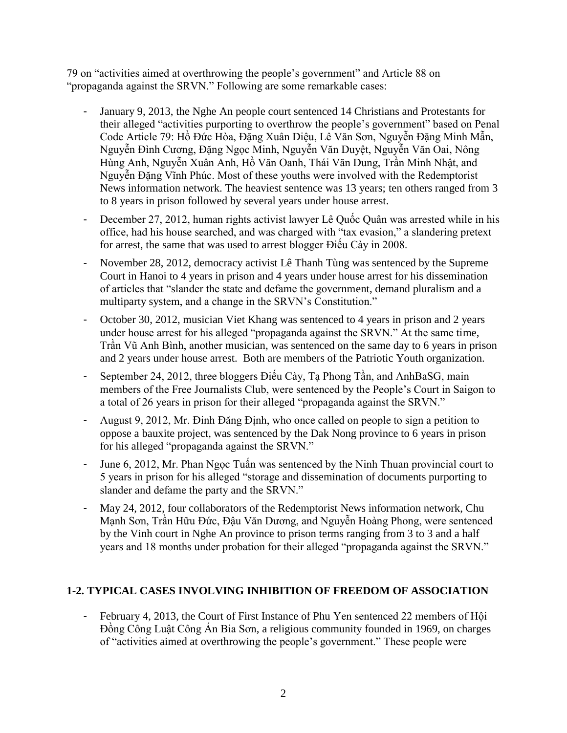79 on "activities aimed at overthrowing the people's government" and Article 88 on "propaganda against the SRVN." Following are some remarkable cases:

- January 9, 2013, the Nghe An people court sentenced 14 Christians and Protestants for their alleged "activities purporting to overthrow the people's government" based on Penal Code Article 79: Hồ Đức Hòa, Đặng Xuân Diệu, Lê Văn Sơn, Nguyễn Đặng Minh Mẫn, Nguyễn Đình Cương, Đặng Ngọc Minh, Nguyễn Văn Duyệt, Nguyễn Văn Oai, Nông Hùng Anh, Nguyễn Xuân Anh, Hồ Văn Oanh, Thái Văn Dung, Trần Minh Nhật, and Nguyễn Đặng Vĩnh Phúc. Most of these youths were involved with the Redemptorist News information network. The heaviest sentence was 13 years; ten others ranged from 3 to 8 years in prison followed by several years under house arrest.
- December 27, 2012, human rights activist lawyer Lê Quốc Quân was arrested while in his office, had his house searched, and was charged with "tax evasion," a slandering pretext for arrest, the same that was used to arrest blogger Điếu Cày in 2008.
- November 28, 2012, democracy activist Lê Thanh Tùng was sentenced by the Supreme Court in Hanoi to 4 years in prison and 4 years under house arrest for his dissemination of articles that "slander the state and defame the government, demand pluralism and a multiparty system, and a change in the SRVN's Constitution."
- October 30, 2012, musician Viet Khang was sentenced to 4 years in prison and 2 years under house arrest for his alleged "propaganda against the SRVN." At the same time, Trần Vũ Anh Bình, another musician, was sentenced on the same day to 6 years in prison and 2 years under house arrest. Both are members of the Patriotic Youth organization.
- September 24, 2012, three bloggers Điểu Cày, Tạ Phong Tần, and AnhBaSG, main members of the Free Journalists Club, were sentenced by the People's Court in Saigon to a total of 26 years in prison for their alleged "propaganda against the SRVN."
- August 9, 2012, Mr. Đinh Đăng Định, who once called on people to sign a petition to oppose a bauxite project, was sentenced by the Dak Nong province to 6 years in prison for his alleged "propaganda against the SRVN."
- June 6, 2012, Mr. Phan Ngọc Tuấn was sentenced by the Ninh Thuan provincial court to 5 years in prison for his alleged "storage and dissemination of documents purporting to slander and defame the party and the SRVN."
- May 24, 2012, four collaborators of the Redemptorist News information network, Chu Mạnh Sơn, Trần Hữu Đức, Đậu Văn Dương, and Nguyễn Hoàng Phong, were sentenced by the Vinh court in Nghe An province to prison terms ranging from 3 to 3 and a half years and 18 months under probation for their alleged "propaganda against the SRVN."

# **1-2. TYPICAL CASES INVOLVING INHIBITION OF FREEDOM OF ASSOCIATION**

February 4, 2013, the Court of First Instance of Phu Yen sentenced 22 members of H $\delta$ i Đồng Công Luật Công Án Bia Sơn, a religious community founded in 1969, on charges of "activities aimed at overthrowing the people's government." These people were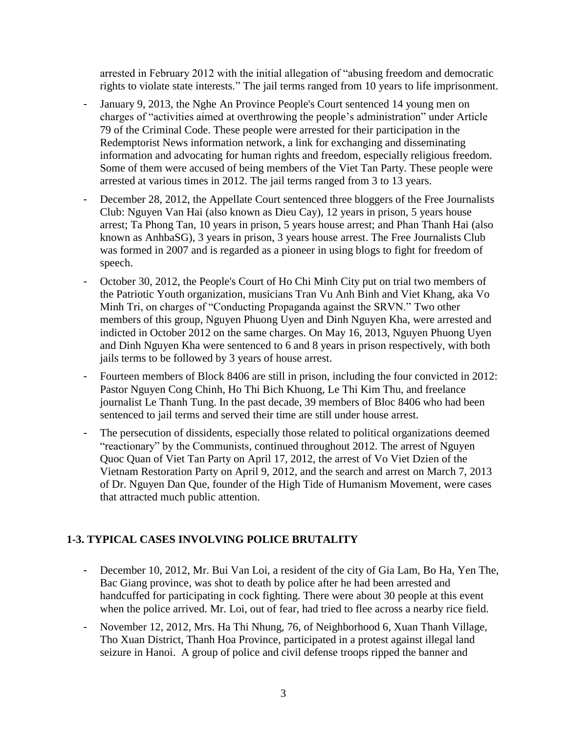arrested in February 2012 with the initial allegation of "abusing freedom and democratic rights to violate state interests." The jail terms ranged from 10 years to life imprisonment.

- January 9, 2013, the Nghe An Province People's Court sentenced 14 young men on charges of "activities aimed at overthrowing the people's administration" under Article 79 of the Criminal Code. These people were arrested for their participation in the Redemptorist News information network, a link for exchanging and disseminating information and advocating for human rights and freedom, especially religious freedom. Some of them were accused of being members of the Viet Tan Party. These people were arrested at various times in 2012. The jail terms ranged from 3 to 13 years.
- December 28, 2012, the Appellate Court sentenced three bloggers of the Free Journalists Club: Nguyen Van Hai (also known as Dieu Cay), 12 years in prison, 5 years house arrest; Ta Phong Tan, 10 years in prison, 5 years house arrest; and Phan Thanh Hai (also known as AnhbaSG), 3 years in prison, 3 years house arrest. The Free Journalists Club was formed in 2007 and is regarded as a pioneer in using blogs to fight for freedom of speech.
- October 30, 2012, the People's Court of Ho Chi Minh City put on trial two members of the Patriotic Youth organization, musicians Tran Vu Anh Binh and Viet Khang, aka Vo Minh Tri, on charges of "Conducting Propaganda against the SRVN." Two other members of this group, Nguyen Phuong Uyen and Dinh Nguyen Kha, were arrested and indicted in October 2012 on the same charges. On May 16, 2013, Nguyen Phuong Uyen and Dinh Nguyen Kha were sentenced to 6 and 8 years in prison respectively, with both jails terms to be followed by 3 years of house arrest.
- Fourteen members of Block 8406 are still in prison, including the four convicted in 2012: Pastor Nguyen Cong Chinh, Ho Thi Bich Khuong, Le Thi Kim Thu, and freelance journalist Le Thanh Tung. In the past decade, 39 members of Bloc 8406 who had been sentenced to jail terms and served their time are still under house arrest.
- The persecution of dissidents, especially those related to political organizations deemed "reactionary" by the Communists, continued throughout 2012. The arrest of Nguyen Quoc Quan of Viet Tan Party on April 17, 2012, the arrest of Vo Viet Dzien of the Vietnam Restoration Party on April 9, 2012, and the search and arrest on March 7, 2013 of Dr. Nguyen Dan Que, founder of the High Tide of Humanism Movement, were cases that attracted much public attention.

# **1-3. TYPICAL CASES INVOLVING POLICE BRUTALITY**

- December 10, 2012, Mr. Bui Van Loi, a resident of the city of Gia Lam, Bo Ha, Yen The, Bac Giang province, was shot to death by police after he had been arrested and handcuffed for participating in cock fighting. There were about 30 people at this event when the police arrived. Mr. Loi, out of fear, had tried to flee across a nearby rice field.
- November 12, 2012, Mrs. Ha Thi Nhung, 76, of Neighborhood 6, Xuan Thanh Village, Tho Xuan District, Thanh Hoa Province, participated in a protest against illegal land seizure in Hanoi. A group of police and civil defense troops ripped the banner and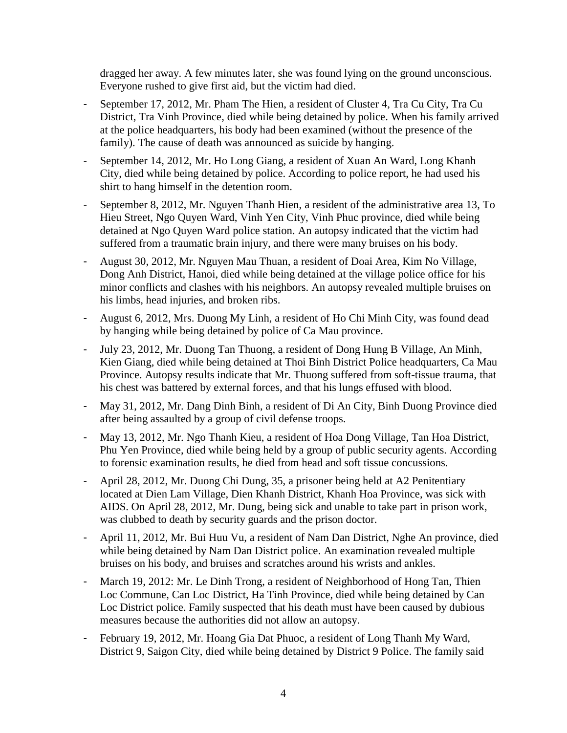dragged her away. A few minutes later, she was found lying on the ground unconscious. Everyone rushed to give first aid, but the victim had died.

- September 17, 2012, Mr. Pham The Hien, a resident of Cluster 4, Tra Cu City, Tra Cu District, Tra Vinh Province, died while being detained by police. When his family arrived at the police headquarters, his body had been examined (without the presence of the family). The cause of death was announced as suicide by hanging.
- September 14, 2012, Mr. Ho Long Giang, a resident of Xuan An Ward, Long Khanh City, died while being detained by police. According to police report, he had used his shirt to hang himself in the detention room.
- September 8, 2012, Mr. Nguyen Thanh Hien, a resident of the administrative area 13, To Hieu Street, Ngo Quyen Ward, Vinh Yen City, Vinh Phuc province, died while being detained at Ngo Quyen Ward police station. An autopsy indicated that the victim had suffered from a traumatic brain injury, and there were many bruises on his body.
- August 30, 2012, Mr. Nguyen Mau Thuan, a resident of Doai Area, Kim No Village, Dong Anh District, Hanoi, died while being detained at the village police office for his minor conflicts and clashes with his neighbors. An autopsy revealed multiple bruises on his limbs, head injuries, and broken ribs.
- August 6, 2012, Mrs. Duong My Linh, a resident of Ho Chi Minh City, was found dead by hanging while being detained by police of Ca Mau province.
- July 23, 2012, Mr. Duong Tan Thuong, a resident of Dong Hung B Village, An Minh, Kien Giang, died while being detained at Thoi Binh District Police headquarters, Ca Mau Province. Autopsy results indicate that Mr. Thuong suffered from soft-tissue trauma, that his chest was battered by external forces, and that his lungs effused with blood.
- May 31, 2012, Mr. Dang Dinh Binh, a resident of Di An City, Binh Duong Province died after being assaulted by a group of civil defense troops.
- May 13, 2012, Mr. Ngo Thanh Kieu, a resident of Hoa Dong Village, Tan Hoa District, Phu Yen Province, died while being held by a group of public security agents. According to forensic examination results, he died from head and soft tissue concussions.
- April 28, 2012, Mr. Duong Chi Dung, 35, a prisoner being held at A2 Penitentiary located at Dien Lam Village, Dien Khanh District, Khanh Hoa Province, was sick with AIDS. On April 28, 2012, Mr. Dung, being sick and unable to take part in prison work, was clubbed to death by security guards and the prison doctor.
- April 11, 2012, Mr. Bui Huu Vu, a resident of Nam Dan District, Nghe An province, died while being detained by Nam Dan District police. An examination revealed multiple bruises on his body, and bruises and scratches around his wrists and ankles.
- March 19, 2012: Mr. Le Dinh Trong, a resident of Neighborhood of Hong Tan, Thien Loc Commune, Can Loc District, Ha Tinh Province, died while being detained by Can Loc District police. Family suspected that his death must have been caused by dubious measures because the authorities did not allow an autopsy.
- February 19, 2012, Mr. Hoang Gia Dat Phuoc, a resident of Long Thanh My Ward, District 9, Saigon City, died while being detained by District 9 Police. The family said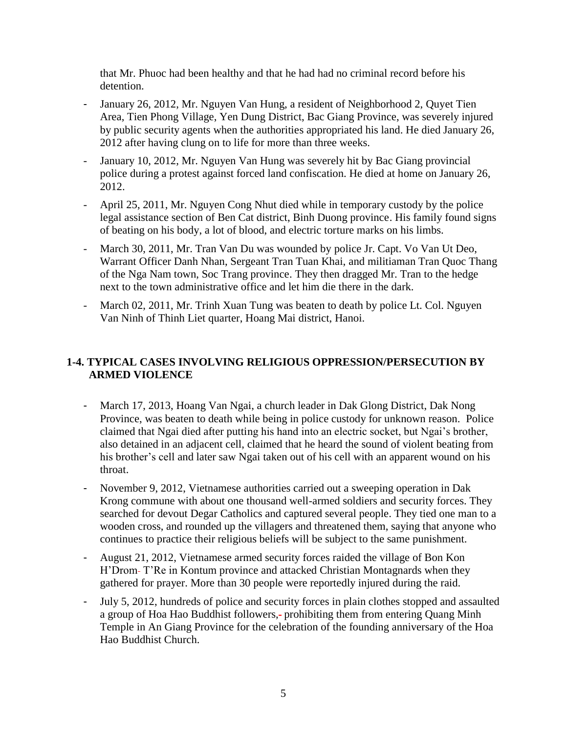that Mr. Phuoc had been healthy and that he had had no criminal record before his detention.

- January 26, 2012, Mr. Nguyen Van Hung, a resident of Neighborhood 2, Quyet Tien Area, Tien Phong Village, Yen Dung District, Bac Giang Province, was severely injured by public security agents when the authorities appropriated his land. He died January 26, 2012 after having clung on to life for more than three weeks.
- January 10, 2012, Mr. Nguyen Van Hung was severely hit by Bac Giang provincial police during a protest against forced land confiscation. He died at home on January 26, 2012.
- April 25, 2011, Mr. Nguyen Cong Nhut died while in temporary custody by the police legal assistance section of Ben Cat district, Binh Duong province. His family found signs of beating on his body, a lot of blood, and electric torture marks on his limbs.
- March 30, 2011, Mr. Tran Van Du was wounded by police Jr. Capt. Vo Van Ut Deo, Warrant Officer Danh Nhan, Sergeant Tran Tuan Khai, and militiaman Tran Quoc Thang of the Nga Nam town, Soc Trang province. They then dragged Mr. Tran to the hedge next to the town administrative office and let him die there in the dark.
- March 02, 2011, Mr. Trinh Xuan Tung was beaten to death by police Lt. Col. Nguyen Van Ninh of Thinh Liet quarter, Hoang Mai district, Hanoi.

## **1-4. TYPICAL CASES INVOLVING RELIGIOUS OPPRESSION/PERSECUTION BY ARMED VIOLENCE**

- March 17, 2013, Hoang Van Ngai, a church leader in Dak Glong District, Dak Nong Province, was beaten to death while being in police custody for unknown reason. Police claimed that Ngai died after putting his hand into an electric socket, but Ngai's brother, also detained in an adjacent cell, claimed that he heard the sound of violent beating from his brother's cell and later saw Ngai taken out of his cell with an apparent wound on his throat.
- November 9, 2012, Vietnamese authorities carried out a sweeping operation in Dak Krong commune with about one thousand well-armed soldiers and security forces. They searched for devout Degar Catholics and captured several people. They tied one man to a wooden cross, and rounded up the villagers and threatened them, saying that anyone who continues to practice their religious beliefs will be subject to the same punishment.
- August 21, 2012, Vietnamese armed security forces raided the village of Bon Kon H'Drom-T'Re in Kontum province and attacked Christian Montagnards when they gathered for prayer. More than 30 people were reportedly injured during the raid.
- July 5, 2012, hundreds of police and security forces in plain clothes stopped and assaulted a group of Hoa Hao Buddhist followers,- prohibiting them from entering Quang Minh Temple in An Giang Province for the celebration of the founding anniversary of the Hoa Hao Buddhist Church.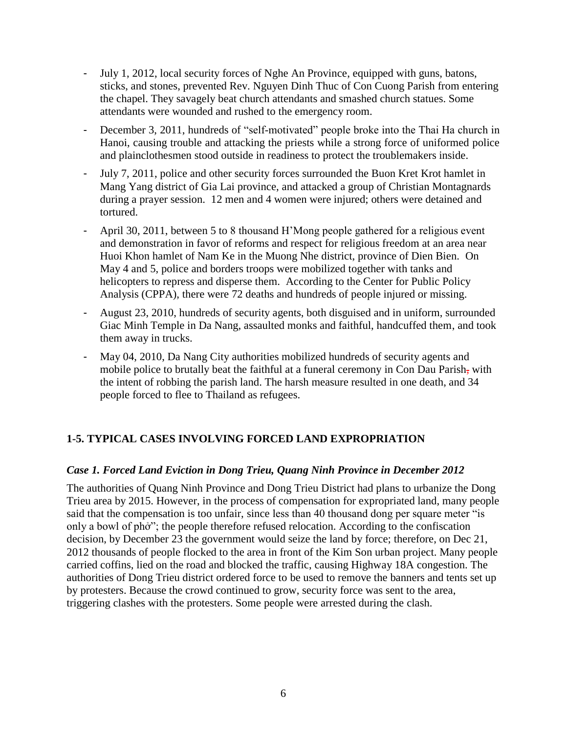- July 1, 2012, local security forces of Nghe An Province, equipped with guns, batons, sticks, and stones, prevented Rev. Nguyen Dinh Thuc of Con Cuong Parish from entering the chapel. They savagely beat church attendants and smashed church statues. Some attendants were wounded and rushed to the emergency room.
- December 3, 2011, hundreds of "self-motivated" people broke into the Thai Ha church in Hanoi, causing trouble and attacking the priests while a strong force of uniformed police and plainclothesmen stood outside in readiness to protect the troublemakers inside.
- July 7, 2011, police and other security forces surrounded the Buon Kret Krot hamlet in Mang Yang district of Gia Lai province, and attacked a group of Christian Montagnards during a prayer session. 12 men and 4 women were injured; others were detained and tortured.
- April 30, 2011, between 5 to 8 thousand H'Mong people gathered for a religious event and demonstration in favor of reforms and respect for religious freedom at an area near Huoi Khon hamlet of Nam Ke in the Muong Nhe district, province of Dien Bien. On May 4 and 5, police and borders troops were mobilized together with tanks and helicopters to repress and disperse them. According to the Center for Public Policy Analysis (CPPA), there were 72 deaths and hundreds of people injured or missing.
- August 23, 2010, hundreds of security agents, both disguised and in uniform, surrounded Giac Minh Temple in Da Nang, assaulted monks and faithful, handcuffed them, and took them away in trucks.
- May 04, 2010, Da Nang City authorities mobilized hundreds of security agents and mobile police to brutally beat the faithful at a funeral ceremony in Con Dau Parish, with the intent of robbing the parish land. The harsh measure resulted in one death, and 34 people forced to flee to Thailand as refugees.

## **1-5. TYPICAL CASES INVOLVING FORCED LAND EXPROPRIATION**

#### *Case 1. Forced Land Eviction in Dong Trieu, Quang Ninh Province in December 2012*

The authorities of Quang Ninh Province and Dong Trieu District had plans to urbanize the Dong Trieu area by 2015. However, in the process of compensation for expropriated land, many people said that the compensation is too unfair, since less than 40 thousand dong per square meter "is only a bowl of phở"; the people therefore refused relocation. According to the confiscation decision, by December 23 the government would seize the land by force; therefore, on Dec 21, 2012 thousands of people flocked to the area in front of the Kim Son urban project. Many people carried coffins, lied on the road and blocked the traffic, causing Highway 18A congestion. The authorities of Dong Trieu district ordered force to be used to remove the banners and tents set up by protesters. Because the crowd continued to grow, security force was sent to the area, triggering clashes with the protesters. Some people were arrested during the clash.